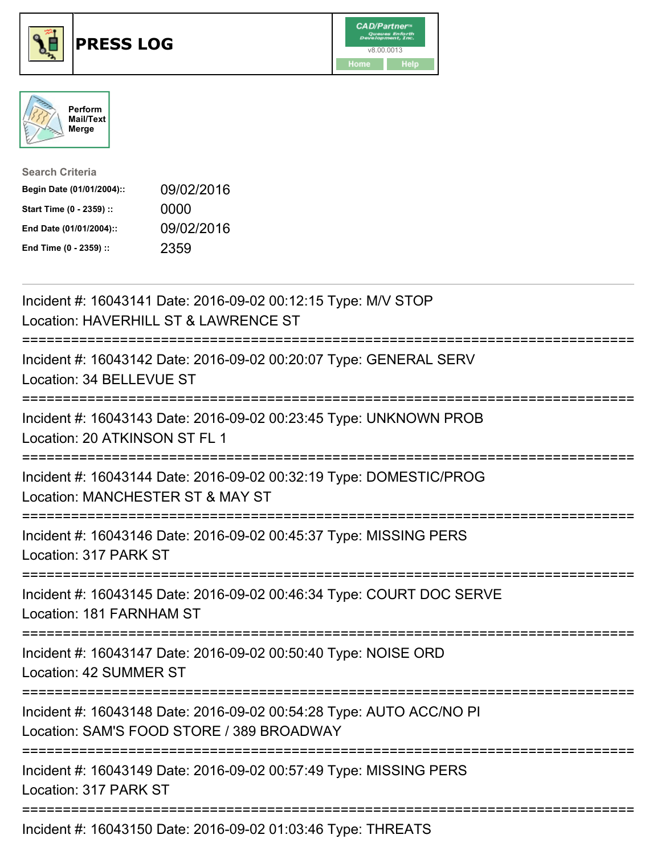





| <b>Search Criteria</b>    |            |
|---------------------------|------------|
| Begin Date (01/01/2004):: | 09/02/2016 |
| Start Time (0 - 2359) ::  | 0000       |
| End Date (01/01/2004)::   | 09/02/2016 |
| End Time (0 - 2359) ::    | 2359       |

| Incident #: 16043141 Date: 2016-09-02 00:12:15 Type: M/V STOP<br>Location: HAVERHILL ST & LAWRENCE ST                  |
|------------------------------------------------------------------------------------------------------------------------|
| Incident #: 16043142 Date: 2016-09-02 00:20:07 Type: GENERAL SERV<br>Location: 34 BELLEVUE ST<br>================      |
| Incident #: 16043143 Date: 2016-09-02 00:23:45 Type: UNKNOWN PROB<br>Location: 20 ATKINSON ST FL 1<br>-------------    |
| Incident #: 16043144 Date: 2016-09-02 00:32:19 Type: DOMESTIC/PROG<br>Location: MANCHESTER ST & MAY ST<br>------------ |
| Incident #: 16043146 Date: 2016-09-02 00:45:37 Type: MISSING PERS<br>Location: 317 PARK ST                             |
| Incident #: 16043145 Date: 2016-09-02 00:46:34 Type: COURT DOC SERVE<br>Location: 181 FARNHAM ST                       |
| Incident #: 16043147 Date: 2016-09-02 00:50:40 Type: NOISE ORD<br>Location: 42 SUMMER ST                               |
| Incident #: 16043148 Date: 2016-09-02 00:54:28 Type: AUTO ACC/NO PI<br>Location: SAM'S FOOD STORE / 389 BROADWAY       |
| Incident #: 16043149 Date: 2016-09-02 00:57:49 Type: MISSING PERS<br>Location: 317 PARK ST                             |
| Incident #: 16043150 Date: 2016-09-02 01:03:46 Type: THREATS                                                           |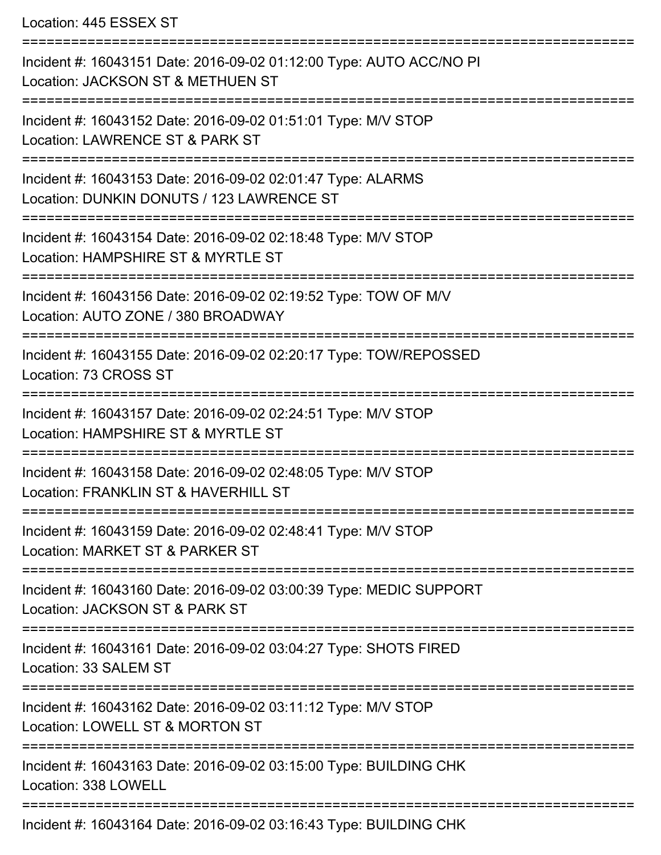Location: 445 ESSEX ST

| Incident #: 16043151 Date: 2016-09-02 01:12:00 Type: AUTO ACC/NO PI<br>Location: JACKSON ST & METHUEN ST |
|----------------------------------------------------------------------------------------------------------|
| Incident #: 16043152 Date: 2016-09-02 01:51:01 Type: M/V STOP<br>Location: LAWRENCE ST & PARK ST         |
| Incident #: 16043153 Date: 2016-09-02 02:01:47 Type: ALARMS<br>Location: DUNKIN DONUTS / 123 LAWRENCE ST |
| Incident #: 16043154 Date: 2016-09-02 02:18:48 Type: M/V STOP<br>Location: HAMPSHIRE ST & MYRTLE ST      |
| Incident #: 16043156 Date: 2016-09-02 02:19:52 Type: TOW OF M/V<br>Location: AUTO ZONE / 380 BROADWAY    |
| Incident #: 16043155 Date: 2016-09-02 02:20:17 Type: TOW/REPOSSED<br>Location: 73 CROSS ST               |
| Incident #: 16043157 Date: 2016-09-02 02:24:51 Type: M/V STOP<br>Location: HAMPSHIRE ST & MYRTLE ST      |
| Incident #: 16043158 Date: 2016-09-02 02:48:05 Type: M/V STOP<br>Location: FRANKLIN ST & HAVERHILL ST    |
| Incident #: 16043159 Date: 2016-09-02 02:48:41 Type: M/V STOP<br>Location: MARKET ST & PARKER ST         |
| Incident #: 16043160 Date: 2016-09-02 03:00:39 Type: MEDIC SUPPORT<br>Location: JACKSON ST & PARK ST     |
| Incident #: 16043161 Date: 2016-09-02 03:04:27 Type: SHOTS FIRED<br>Location: 33 SALEM ST                |
| Incident #: 16043162 Date: 2016-09-02 03:11:12 Type: M/V STOP<br>Location: LOWELL ST & MORTON ST         |
| Incident #: 16043163 Date: 2016-09-02 03:15:00 Type: BUILDING CHK<br>Location: 338 LOWELL                |
| Incident #: 16043164 Date: 2016-09-02 03:16:43 Type: BUILDING CHK                                        |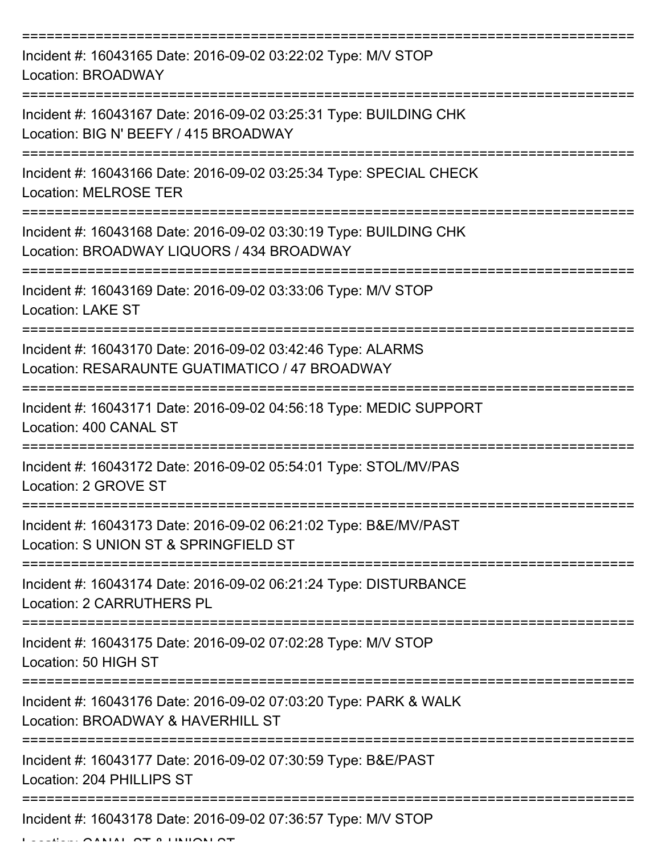| Incident #: 16043165 Date: 2016-09-02 03:22:02 Type: M/V STOP<br>Location: BROADWAY                                                          |
|----------------------------------------------------------------------------------------------------------------------------------------------|
| Incident #: 16043167 Date: 2016-09-02 03:25:31 Type: BUILDING CHK<br>Location: BIG N' BEEFY / 415 BROADWAY                                   |
| Incident #: 16043166 Date: 2016-09-02 03:25:34 Type: SPECIAL CHECK<br><b>Location: MELROSE TER</b>                                           |
| Incident #: 16043168 Date: 2016-09-02 03:30:19 Type: BUILDING CHK<br>Location: BROADWAY LIQUORS / 434 BROADWAY                               |
| Incident #: 16043169 Date: 2016-09-02 03:33:06 Type: M/V STOP<br><b>Location: LAKE ST</b>                                                    |
| Incident #: 16043170 Date: 2016-09-02 03:42:46 Type: ALARMS<br>Location: RESARAUNTE GUATIMATICO / 47 BROADWAY                                |
| Incident #: 16043171 Date: 2016-09-02 04:56:18 Type: MEDIC SUPPORT<br>Location: 400 CANAL ST                                                 |
| Incident #: 16043172 Date: 2016-09-02 05:54:01 Type: STOL/MV/PAS<br>Location: 2 GROVE ST                                                     |
| Incident #: 16043173 Date: 2016-09-02 06:21:02 Type: B&E/MV/PAST<br>Location: S UNION ST & SPRINGFIELD ST                                    |
| Incident #: 16043174 Date: 2016-09-02 06:21:24 Type: DISTURBANCE<br><b>Location: 2 CARRUTHERS PL</b>                                         |
| Incident #: 16043175 Date: 2016-09-02 07:02:28 Type: M/V STOP<br>Location: 50 HIGH ST                                                        |
| ===================================<br>Incident #: 16043176 Date: 2016-09-02 07:03:20 Type: PARK & WALK<br>Location: BROADWAY & HAVERHILL ST |
| Incident #: 16043177 Date: 2016-09-02 07:30:59 Type: B&E/PAST<br>Location: 204 PHILLIPS ST                                                   |
| Incident #: 16043178 Date: 2016-09-02 07:36:57 Type: M/V STOP                                                                                |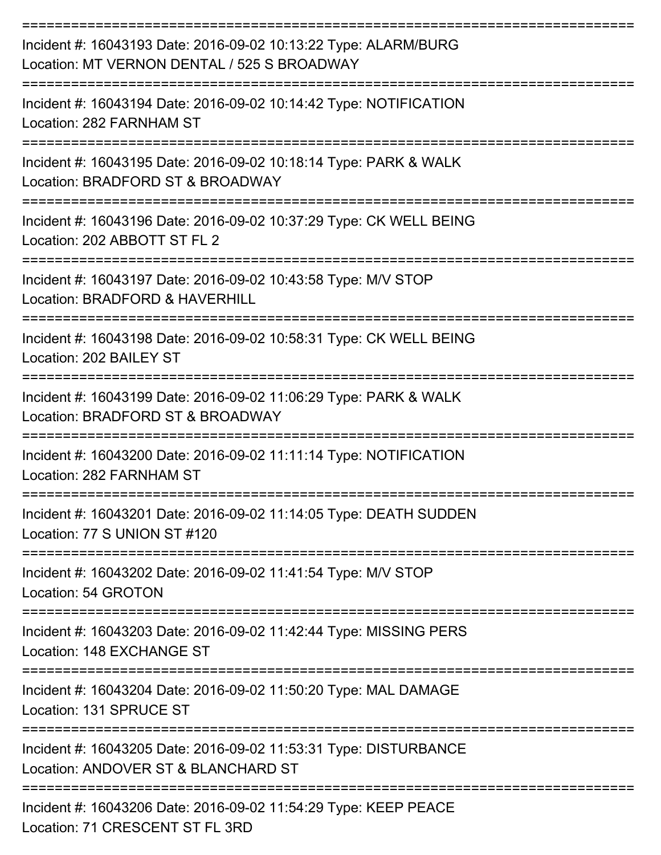| Incident #: 16043193 Date: 2016-09-02 10:13:22 Type: ALARM/BURG<br>Location: MT VERNON DENTAL / 525 S BROADWAY |
|----------------------------------------------------------------------------------------------------------------|
| Incident #: 16043194 Date: 2016-09-02 10:14:42 Type: NOTIFICATION<br>Location: 282 FARNHAM ST                  |
| Incident #: 16043195 Date: 2016-09-02 10:18:14 Type: PARK & WALK<br>Location: BRADFORD ST & BROADWAY           |
| Incident #: 16043196 Date: 2016-09-02 10:37:29 Type: CK WELL BEING<br>Location: 202 ABBOTT ST FL 2             |
| Incident #: 16043197 Date: 2016-09-02 10:43:58 Type: M/V STOP<br>Location: BRADFORD & HAVERHILL                |
| Incident #: 16043198 Date: 2016-09-02 10:58:31 Type: CK WELL BEING<br>Location: 202 BAILEY ST                  |
| Incident #: 16043199 Date: 2016-09-02 11:06:29 Type: PARK & WALK<br>Location: BRADFORD ST & BROADWAY           |
| Incident #: 16043200 Date: 2016-09-02 11:11:14 Type: NOTIFICATION<br>Location: 282 FARNHAM ST                  |
| Incident #: 16043201 Date: 2016-09-02 11:14:05 Type: DEATH SUDDEN<br>Location: 77 S UNION ST #120              |
| Incident #: 16043202 Date: 2016-09-02 11:41:54 Type: M/V STOP<br>Location: 54 GROTON                           |
| Incident #: 16043203 Date: 2016-09-02 11:42:44 Type: MISSING PERS<br>Location: 148 EXCHANGE ST                 |
| Incident #: 16043204 Date: 2016-09-02 11:50:20 Type: MAL DAMAGE<br>Location: 131 SPRUCE ST                     |
| Incident #: 16043205 Date: 2016-09-02 11:53:31 Type: DISTURBANCE<br>Location: ANDOVER ST & BLANCHARD ST        |
| Incident #: 16043206 Date: 2016-09-02 11:54:29 Type: KEEP PEACE<br>Location: 71 CRESCENT ST FL 3RD             |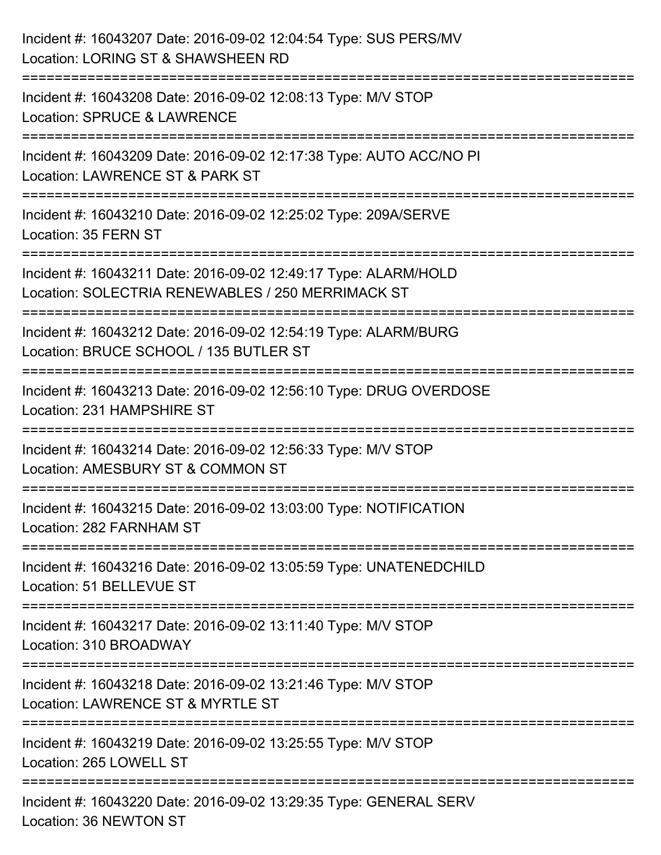| Incident #: 16043207 Date: 2016-09-02 12:04:54 Type: SUS PERS/MV<br>Location: LORING ST & SHAWSHEEN RD                         |
|--------------------------------------------------------------------------------------------------------------------------------|
| -------------------<br>Incident #: 16043208 Date: 2016-09-02 12:08:13 Type: M/V STOP<br><b>Location: SPRUCE &amp; LAWRENCE</b> |
| Incident #: 16043209 Date: 2016-09-02 12:17:38 Type: AUTO ACC/NO PI<br>Location: LAWRENCE ST & PARK ST<br>----------------     |
| Incident #: 16043210 Date: 2016-09-02 12:25:02 Type: 209A/SERVE<br>Location: 35 FERN ST                                        |
| Incident #: 16043211 Date: 2016-09-02 12:49:17 Type: ALARM/HOLD<br>Location: SOLECTRIA RENEWABLES / 250 MERRIMACK ST           |
| Incident #: 16043212 Date: 2016-09-02 12:54:19 Type: ALARM/BURG<br>Location: BRUCE SCHOOL / 135 BUTLER ST                      |
| Incident #: 16043213 Date: 2016-09-02 12:56:10 Type: DRUG OVERDOSE<br>Location: 231 HAMPSHIRE ST                               |
| Incident #: 16043214 Date: 2016-09-02 12:56:33 Type: M/V STOP<br>Location: AMESBURY ST & COMMON ST                             |
| Incident #: 16043215 Date: 2016-09-02 13:03:00 Type: NOTIFICATION<br>Location: 282 FARNHAM ST                                  |
| Incident #: 16043216 Date: 2016-09-02 13:05:59 Type: UNATENEDCHILD<br>Location: 51 BELLEVUE ST                                 |
| Incident #: 16043217 Date: 2016-09-02 13:11:40 Type: M/V STOP<br>Location: 310 BROADWAY                                        |
| Incident #: 16043218 Date: 2016-09-02 13:21:46 Type: M/V STOP<br>Location: LAWRENCE ST & MYRTLE ST                             |
| Incident #: 16043219 Date: 2016-09-02 13:25:55 Type: M/V STOP<br>Location: 265 LOWELL ST                                       |
| Incident #: 16043220 Date: 2016-09-02 13:29:35 Type: GENERAL SERV<br>Location: 36 NEWTON ST                                    |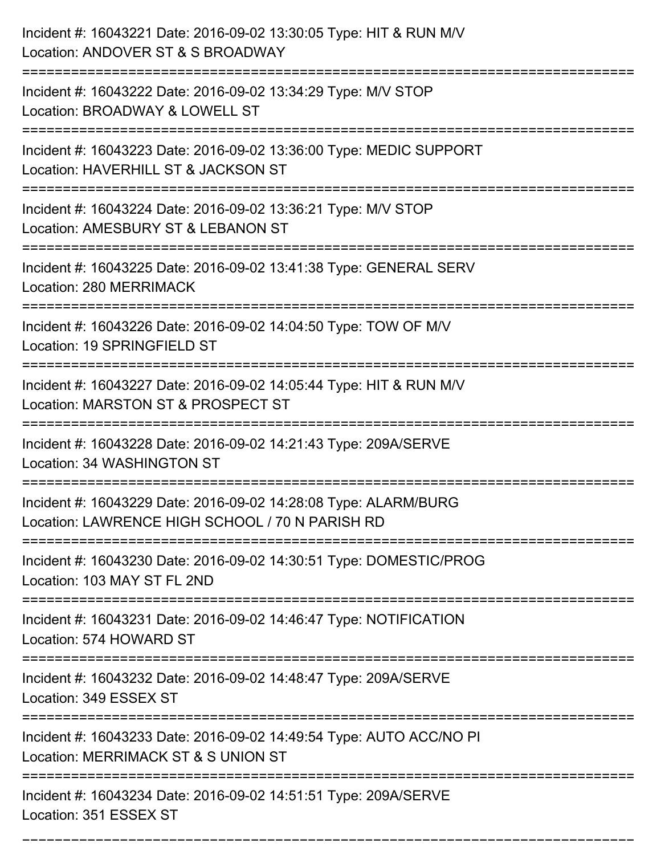| Incident #: 16043221 Date: 2016-09-02 13:30:05 Type: HIT & RUN M/V<br>Location: ANDOVER ST & S BROADWAY                             |
|-------------------------------------------------------------------------------------------------------------------------------------|
| Incident #: 16043222 Date: 2016-09-02 13:34:29 Type: M/V STOP<br>Location: BROADWAY & LOWELL ST                                     |
| Incident #: 16043223 Date: 2016-09-02 13:36:00 Type: MEDIC SUPPORT<br>Location: HAVERHILL ST & JACKSON ST<br>;===================== |
| Incident #: 16043224 Date: 2016-09-02 13:36:21 Type: M/V STOP<br>Location: AMESBURY ST & LEBANON ST                                 |
| Incident #: 16043225 Date: 2016-09-02 13:41:38 Type: GENERAL SERV<br>Location: 280 MERRIMACK                                        |
| Incident #: 16043226 Date: 2016-09-02 14:04:50 Type: TOW OF M/V<br>Location: 19 SPRINGFIELD ST                                      |
| Incident #: 16043227 Date: 2016-09-02 14:05:44 Type: HIT & RUN M/V<br>Location: MARSTON ST & PROSPECT ST                            |
| Incident #: 16043228 Date: 2016-09-02 14:21:43 Type: 209A/SERVE<br>Location: 34 WASHINGTON ST                                       |
| Incident #: 16043229 Date: 2016-09-02 14:28:08 Type: ALARM/BURG<br>Location: LAWRENCE HIGH SCHOOL / 70 N PARISH RD                  |
| Incident #: 16043230 Date: 2016-09-02 14:30:51 Type: DOMESTIC/PROG<br>Location: 103 MAY ST FL 2ND                                   |
| Incident #: 16043231 Date: 2016-09-02 14:46:47 Type: NOTIFICATION<br>Location: 574 HOWARD ST                                        |
| Incident #: 16043232 Date: 2016-09-02 14:48:47 Type: 209A/SERVE<br>Location: 349 ESSEX ST<br>--------------------------             |
| Incident #: 16043233 Date: 2016-09-02 14:49:54 Type: AUTO ACC/NO PI<br>Location: MERRIMACK ST & S UNION ST                          |
| Incident #: 16043234 Date: 2016-09-02 14:51:51 Type: 209A/SERVE<br>Location: 351 ESSEX ST                                           |

===========================================================================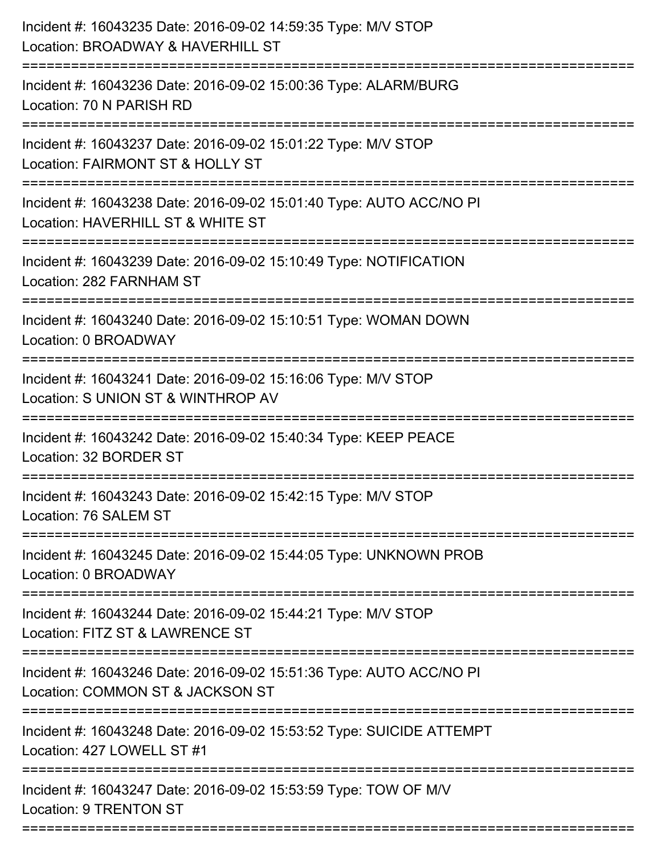| Incident #: 16043235 Date: 2016-09-02 14:59:35 Type: M/V STOP<br>Location: BROADWAY & HAVERHILL ST<br>.====================  |
|------------------------------------------------------------------------------------------------------------------------------|
| Incident #: 16043236 Date: 2016-09-02 15:00:36 Type: ALARM/BURG<br>Location: 70 N PARISH RD                                  |
| Incident #: 16043237 Date: 2016-09-02 15:01:22 Type: M/V STOP<br>Location: FAIRMONT ST & HOLLY ST<br>:====================== |
| Incident #: 16043238 Date: 2016-09-02 15:01:40 Type: AUTO ACC/NO PI<br>Location: HAVERHILL ST & WHITE ST                     |
| Incident #: 16043239 Date: 2016-09-02 15:10:49 Type: NOTIFICATION<br>Location: 282 FARNHAM ST                                |
| Incident #: 16043240 Date: 2016-09-02 15:10:51 Type: WOMAN DOWN<br>Location: 0 BROADWAY                                      |
| Incident #: 16043241 Date: 2016-09-02 15:16:06 Type: M/V STOP<br>Location: S UNION ST & WINTHROP AV                          |
| Incident #: 16043242 Date: 2016-09-02 15:40:34 Type: KEEP PEACE<br>Location: 32 BORDER ST                                    |
| Incident #: 16043243 Date: 2016-09-02 15:42:15 Type: M/V STOP<br>Location: 76 SALEM ST                                       |
| Incident #: 16043245 Date: 2016-09-02 15:44:05 Type: UNKNOWN PROB<br>Location: 0 BROADWAY                                    |
| Incident #: 16043244 Date: 2016-09-02 15:44:21 Type: M/V STOP<br>Location: FITZ ST & LAWRENCE ST                             |
| Incident #: 16043246 Date: 2016-09-02 15:51:36 Type: AUTO ACC/NO PI<br>Location: COMMON ST & JACKSON ST                      |
| Incident #: 16043248 Date: 2016-09-02 15:53:52 Type: SUICIDE ATTEMPT<br>Location: 427 LOWELL ST #1                           |
| Incident #: 16043247 Date: 2016-09-02 15:53:59 Type: TOW OF M/V<br>Location: 9 TRENTON ST                                    |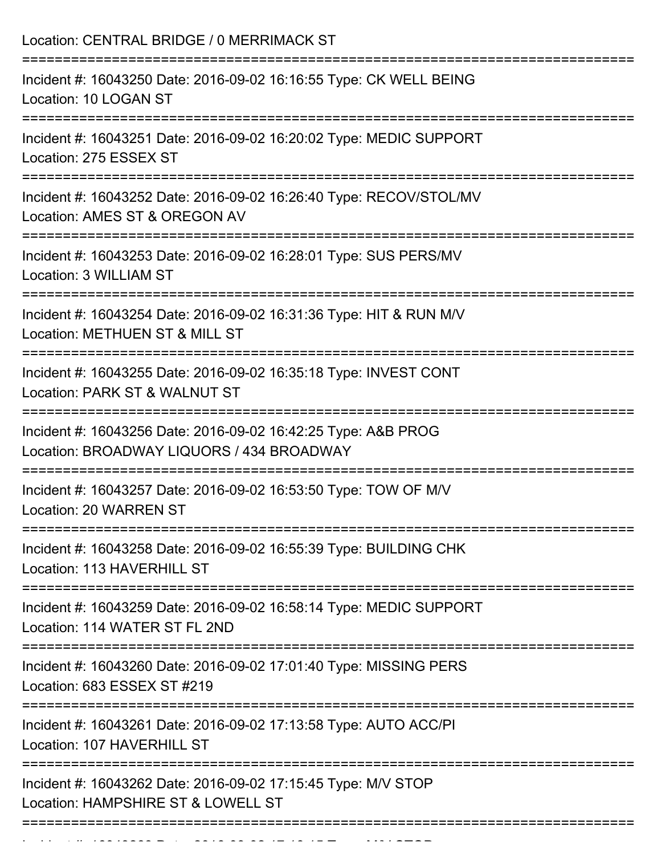| Location: CENTRAL BRIDGE / 0 MERRIMACK ST<br>========================                                                     |
|---------------------------------------------------------------------------------------------------------------------------|
| Incident #: 16043250 Date: 2016-09-02 16:16:55 Type: CK WELL BEING<br>Location: 10 LOGAN ST                               |
| Incident #: 16043251 Date: 2016-09-02 16:20:02 Type: MEDIC SUPPORT<br>Location: 275 ESSEX ST                              |
| Incident #: 16043252 Date: 2016-09-02 16:26:40 Type: RECOV/STOL/MV<br>Location: AMES ST & OREGON AV                       |
| Incident #: 16043253 Date: 2016-09-02 16:28:01 Type: SUS PERS/MV<br>Location: 3 WILLIAM ST                                |
| Incident #: 16043254 Date: 2016-09-02 16:31:36 Type: HIT & RUN M/V<br>Location: METHUEN ST & MILL ST                      |
| Incident #: 16043255 Date: 2016-09-02 16:35:18 Type: INVEST CONT<br>Location: PARK ST & WALNUT ST<br>:=================== |
| Incident #: 16043256 Date: 2016-09-02 16:42:25 Type: A&B PROG<br>Location: BROADWAY LIQUORS / 434 BROADWAY                |
| Incident #: 16043257 Date: 2016-09-02 16:53:50 Type: TOW OF M/V<br>Location: 20 WARREN ST                                 |
| Incident #: 16043258 Date: 2016-09-02 16:55:39 Type: BUILDING CHK<br>Location: 113 HAVERHILL ST                           |
| Incident #: 16043259 Date: 2016-09-02 16:58:14 Type: MEDIC SUPPORT<br>Location: 114 WATER ST FL 2ND                       |
| Incident #: 16043260 Date: 2016-09-02 17:01:40 Type: MISSING PERS<br>Location: 683 ESSEX ST #219                          |
| Incident #: 16043261 Date: 2016-09-02 17:13:58 Type: AUTO ACC/PI<br>Location: 107 HAVERHILL ST                            |
| Incident #: 16043262 Date: 2016-09-02 17:15:45 Type: M/V STOP<br>Location: HAMPSHIRE ST & LOWELL ST                       |

Incident #: 16043263 Date: 2016 09 02 17:16:15 Date: 2016 09 02 17:16:16:16:16:16<br>.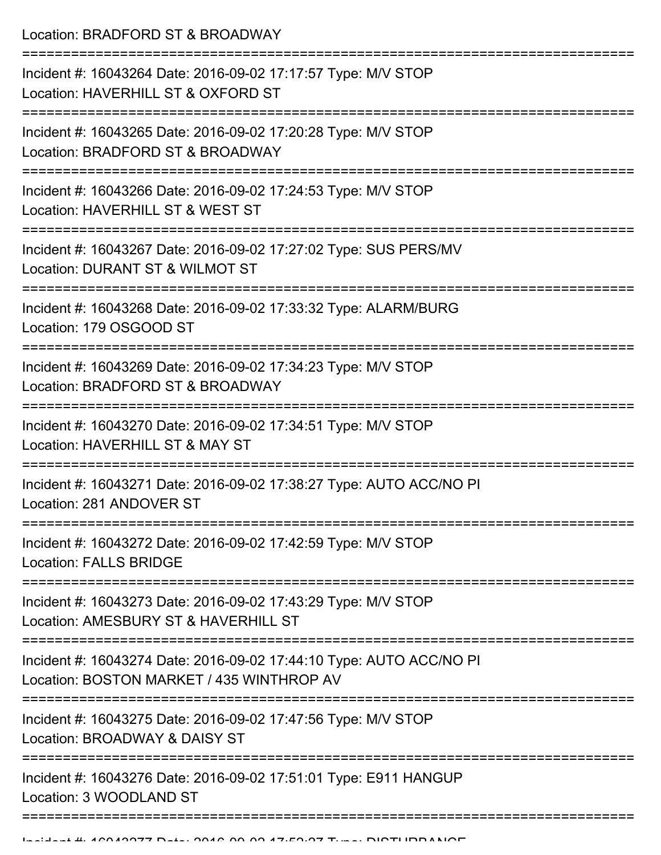Location: BRADFORD ST & BROADWAY

| Incident #: 16043264 Date: 2016-09-02 17:17:57 Type: M/V STOP<br>Location: HAVERHILL ST & OXFORD ST                       |
|---------------------------------------------------------------------------------------------------------------------------|
| Incident #: 16043265 Date: 2016-09-02 17:20:28 Type: M/V STOP<br>Location: BRADFORD ST & BROADWAY                         |
| Incident #: 16043266 Date: 2016-09-02 17:24:53 Type: M/V STOP<br>Location: HAVERHILL ST & WEST ST                         |
| Incident #: 16043267 Date: 2016-09-02 17:27:02 Type: SUS PERS/MV<br>Location: DURANT ST & WILMOT ST                       |
| Incident #: 16043268 Date: 2016-09-02 17:33:32 Type: ALARM/BURG<br>Location: 179 OSGOOD ST                                |
| Incident #: 16043269 Date: 2016-09-02 17:34:23 Type: M/V STOP<br>Location: BRADFORD ST & BROADWAY                         |
| Incident #: 16043270 Date: 2016-09-02 17:34:51 Type: M/V STOP<br>Location: HAVERHILL ST & MAY ST                          |
| Incident #: 16043271 Date: 2016-09-02 17:38:27 Type: AUTO ACC/NO PI<br>Location: 281 ANDOVER ST                           |
| Incident #: 16043272 Date: 2016-09-02 17:42:59 Type: M/V STOP<br>Location: FALLS BRIDGE                                   |
| ----------------<br>Incident #: 16043273 Date: 2016-09-02 17:43:29 Type: M/V STOP<br>Location: AMESBURY ST & HAVERHILL ST |
| Incident #: 16043274 Date: 2016-09-02 17:44:10 Type: AUTO ACC/NO PI<br>Location: BOSTON MARKET / 435 WINTHROP AV          |
| Incident #: 16043275 Date: 2016-09-02 17:47:56 Type: M/V STOP<br>Location: BROADWAY & DAISY ST                            |
| Incident #: 16043276 Date: 2016-09-02 17:51:01 Type: E911 HANGUP<br>Location: 3 WOODLAND ST                               |
|                                                                                                                           |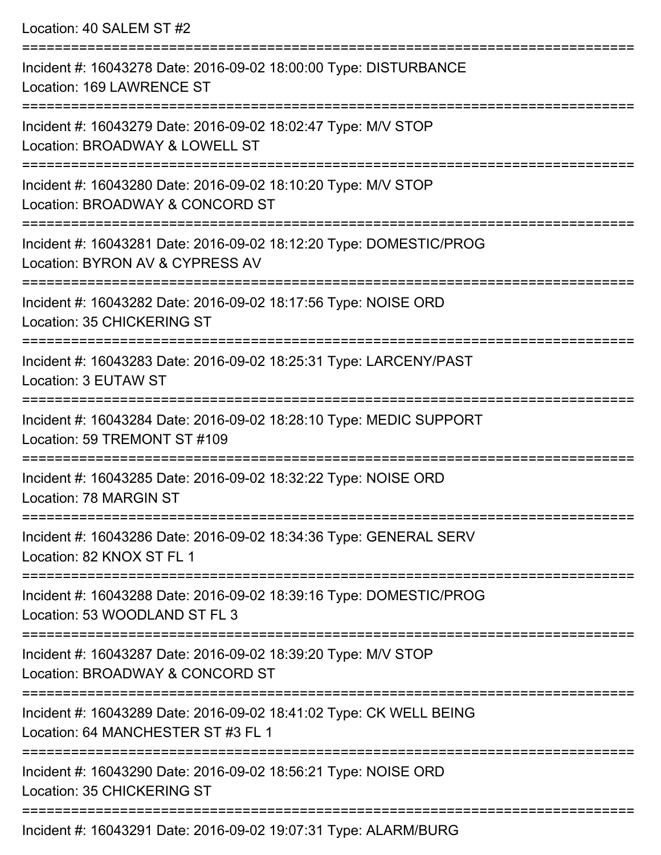Location: 40 SALEM ST #2 =========================================================================== Incident #: 16043278 Date: 2016-09-02 18:00:00 Type: DISTURBANCE Location: 169 LAWRENCE ST =========================================================================== Incident #: 16043279 Date: 2016-09-02 18:02:47 Type: M/V STOP Location: BROADWAY & LOWELL ST =========================================================================== Incident #: 16043280 Date: 2016-09-02 18:10:20 Type: M/V STOP Location: BROADWAY & CONCORD ST =========================================================================== Incident #: 16043281 Date: 2016-09-02 18:12:20 Type: DOMESTIC/PROG Location: BYRON AV & CYPRESS AV =========================================================================== Incident #: 16043282 Date: 2016-09-02 18:17:56 Type: NOISE ORD Location: 35 CHICKERING ST =========================================================================== Incident #: 16043283 Date: 2016-09-02 18:25:31 Type: LARCENY/PAST Location: 3 EUTAW ST =========================================================================== Incident #: 16043284 Date: 2016-09-02 18:28:10 Type: MEDIC SUPPORT Location: 59 TREMONT ST #109 =========================================================================== Incident #: 16043285 Date: 2016-09-02 18:32:22 Type: NOISE ORD Location: 78 MARGIN ST =========================================================================== Incident #: 16043286 Date: 2016-09-02 18:34:36 Type: GENERAL SERV Location: 82 KNOX ST FL 1 =========================================================================== Incident #: 16043288 Date: 2016-09-02 18:39:16 Type: DOMESTIC/PROG Location: 53 WOODLAND ST FL 3 =========================================================================== Incident #: 16043287 Date: 2016-09-02 18:39:20 Type: M/V STOP Location: BROADWAY & CONCORD ST =========================================================================== Incident #: 16043289 Date: 2016-09-02 18:41:02 Type: CK WELL BEING Location: 64 MANCHESTER ST #3 FL 1 =========================================================================== Incident #: 16043290 Date: 2016-09-02 18:56:21 Type: NOISE ORD Location: 35 CHICKERING ST

Incident #: 16043291 Date: 2016-09-02 19:07:31 Type: ALARM/BURG

===========================================================================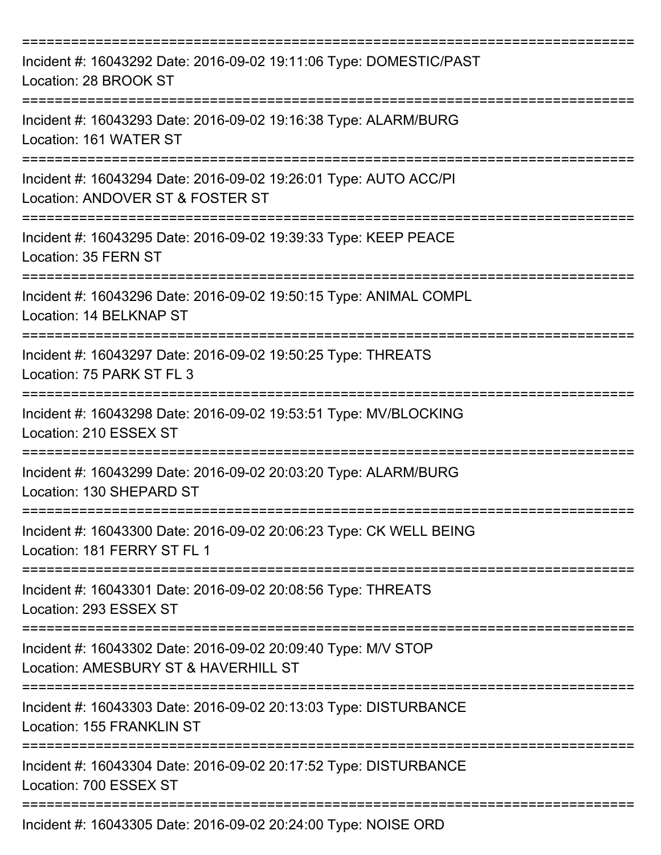| Incident #: 16043292 Date: 2016-09-02 19:11:06 Type: DOMESTIC/PAST<br>Location: 28 BROOK ST                     |
|-----------------------------------------------------------------------------------------------------------------|
| Incident #: 16043293 Date: 2016-09-02 19:16:38 Type: ALARM/BURG<br>Location: 161 WATER ST                       |
| Incident #: 16043294 Date: 2016-09-02 19:26:01 Type: AUTO ACC/PI<br>Location: ANDOVER ST & FOSTER ST            |
| Incident #: 16043295 Date: 2016-09-02 19:39:33 Type: KEEP PEACE<br>Location: 35 FERN ST<br>-------------------- |
| Incident #: 16043296 Date: 2016-09-02 19:50:15 Type: ANIMAL COMPL<br>Location: 14 BELKNAP ST                    |
| Incident #: 16043297 Date: 2016-09-02 19:50:25 Type: THREATS<br>Location: 75 PARK ST FL 3                       |
| Incident #: 16043298 Date: 2016-09-02 19:53:51 Type: MV/BLOCKING<br>Location: 210 ESSEX ST                      |
| Incident #: 16043299 Date: 2016-09-02 20:03:20 Type: ALARM/BURG<br>Location: 130 SHEPARD ST                     |
| Incident #: 16043300 Date: 2016-09-02 20:06:23 Type: CK WELL BEING<br>Location: 181 FERRY ST FL 1               |
| Incident #: 16043301 Date: 2016-09-02 20:08:56 Type: THREATS<br>Location: 293 ESSEX ST                          |
| Incident #: 16043302 Date: 2016-09-02 20:09:40 Type: M/V STOP<br>Location: AMESBURY ST & HAVERHILL ST           |
| Incident #: 16043303 Date: 2016-09-02 20:13:03 Type: DISTURBANCE<br>Location: 155 FRANKLIN ST                   |
| Incident #: 16043304 Date: 2016-09-02 20:17:52 Type: DISTURBANCE<br>Location: 700 ESSEX ST                      |
| Incident #: 16043305 Date: 2016-09-02 20:24:00 Type: NOISE ORD                                                  |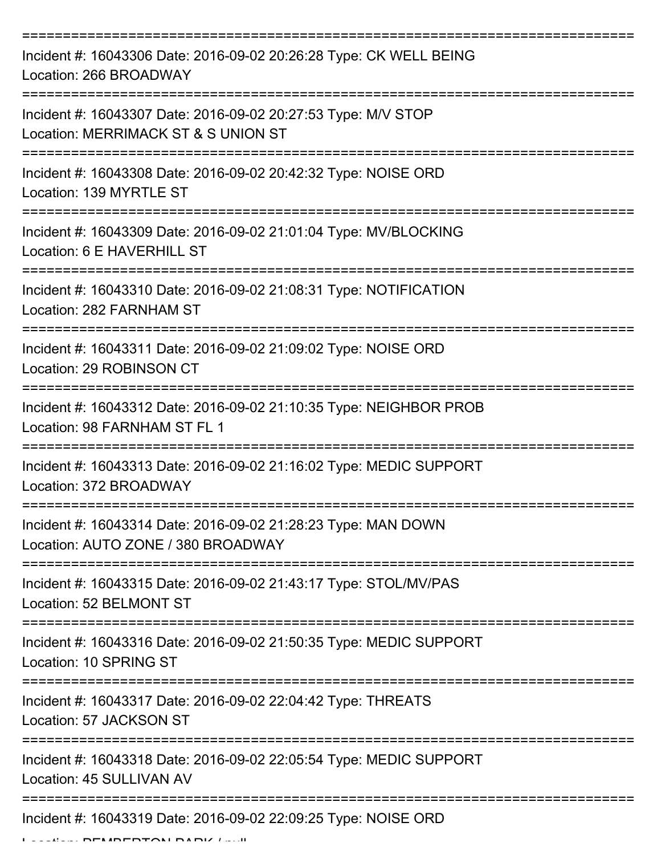| Incident #: 16043306 Date: 2016-09-02 20:26:28 Type: CK WELL BEING<br>Location: 266 BROADWAY         |
|------------------------------------------------------------------------------------------------------|
| Incident #: 16043307 Date: 2016-09-02 20:27:53 Type: M/V STOP<br>Location: MERRIMACK ST & S UNION ST |
| Incident #: 16043308 Date: 2016-09-02 20:42:32 Type: NOISE ORD<br>Location: 139 MYRTLE ST            |
| Incident #: 16043309 Date: 2016-09-02 21:01:04 Type: MV/BLOCKING<br>Location: 6 E HAVERHILL ST       |
| Incident #: 16043310 Date: 2016-09-02 21:08:31 Type: NOTIFICATION<br>Location: 282 FARNHAM ST        |
| Incident #: 16043311 Date: 2016-09-02 21:09:02 Type: NOISE ORD<br>Location: 29 ROBINSON CT           |
| Incident #: 16043312 Date: 2016-09-02 21:10:35 Type: NEIGHBOR PROB<br>Location: 98 FARNHAM ST FL 1   |
| Incident #: 16043313 Date: 2016-09-02 21:16:02 Type: MEDIC SUPPORT<br>Location: 372 BROADWAY         |
| Incident #: 16043314 Date: 2016-09-02 21:28:23 Type: MAN DOWN<br>Location: AUTO ZONE / 380 BROADWAY  |
| Incident #: 16043315 Date: 2016-09-02 21:43:17 Type: STOL/MV/PAS<br>Location: 52 BELMONT ST          |
| Incident #: 16043316 Date: 2016-09-02 21:50:35 Type: MEDIC SUPPORT<br>Location: 10 SPRING ST         |
| Incident #: 16043317 Date: 2016-09-02 22:04:42 Type: THREATS<br>Location: 57 JACKSON ST              |
| Incident #: 16043318 Date: 2016-09-02 22:05:54 Type: MEDIC SUPPORT<br>Location: 45 SULLIVAN AV       |
| Incident #: 16043319 Date: 2016-09-02 22:09:25 Type: NOISE ORD                                       |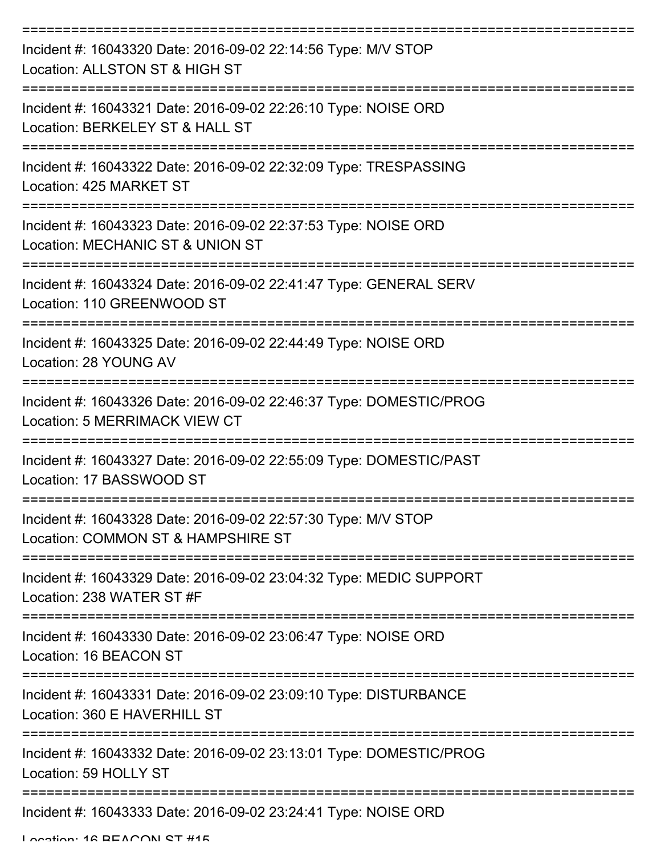| Incident #: 16043320 Date: 2016-09-02 22:14:56 Type: M/V STOP<br>Location: ALLSTON ST & HIGH ST            |
|------------------------------------------------------------------------------------------------------------|
| Incident #: 16043321 Date: 2016-09-02 22:26:10 Type: NOISE ORD<br>Location: BERKELEY ST & HALL ST          |
| Incident #: 16043322 Date: 2016-09-02 22:32:09 Type: TRESPASSING<br>Location: 425 MARKET ST                |
| Incident #: 16043323 Date: 2016-09-02 22:37:53 Type: NOISE ORD<br>Location: MECHANIC ST & UNION ST         |
| Incident #: 16043324 Date: 2016-09-02 22:41:47 Type: GENERAL SERV<br>Location: 110 GREENWOOD ST            |
| Incident #: 16043325 Date: 2016-09-02 22:44:49 Type: NOISE ORD<br>Location: 28 YOUNG AV                    |
| Incident #: 16043326 Date: 2016-09-02 22:46:37 Type: DOMESTIC/PROG<br><b>Location: 5 MERRIMACK VIEW CT</b> |
| Incident #: 16043327 Date: 2016-09-02 22:55:09 Type: DOMESTIC/PAST<br>Location: 17 BASSWOOD ST             |
| Incident #: 16043328 Date: 2016-09-02 22:57:30 Type: M/V STOP<br>Location: COMMON ST & HAMPSHIRE ST        |
| Incident #: 16043329 Date: 2016-09-02 23:04:32 Type: MEDIC SUPPORT<br>Location: 238 WATER ST #F            |
| Incident #: 16043330 Date: 2016-09-02 23:06:47 Type: NOISE ORD<br>Location: 16 BEACON ST                   |
| Incident #: 16043331 Date: 2016-09-02 23:09:10 Type: DISTURBANCE<br>Location: 360 E HAVERHILL ST           |
| Incident #: 16043332 Date: 2016-09-02 23:13:01 Type: DOMESTIC/PROG<br>Location: 59 HOLLY ST                |
| Incident #: 16043333 Date: 2016-09-02 23:24:41 Type: NOISE ORD                                             |